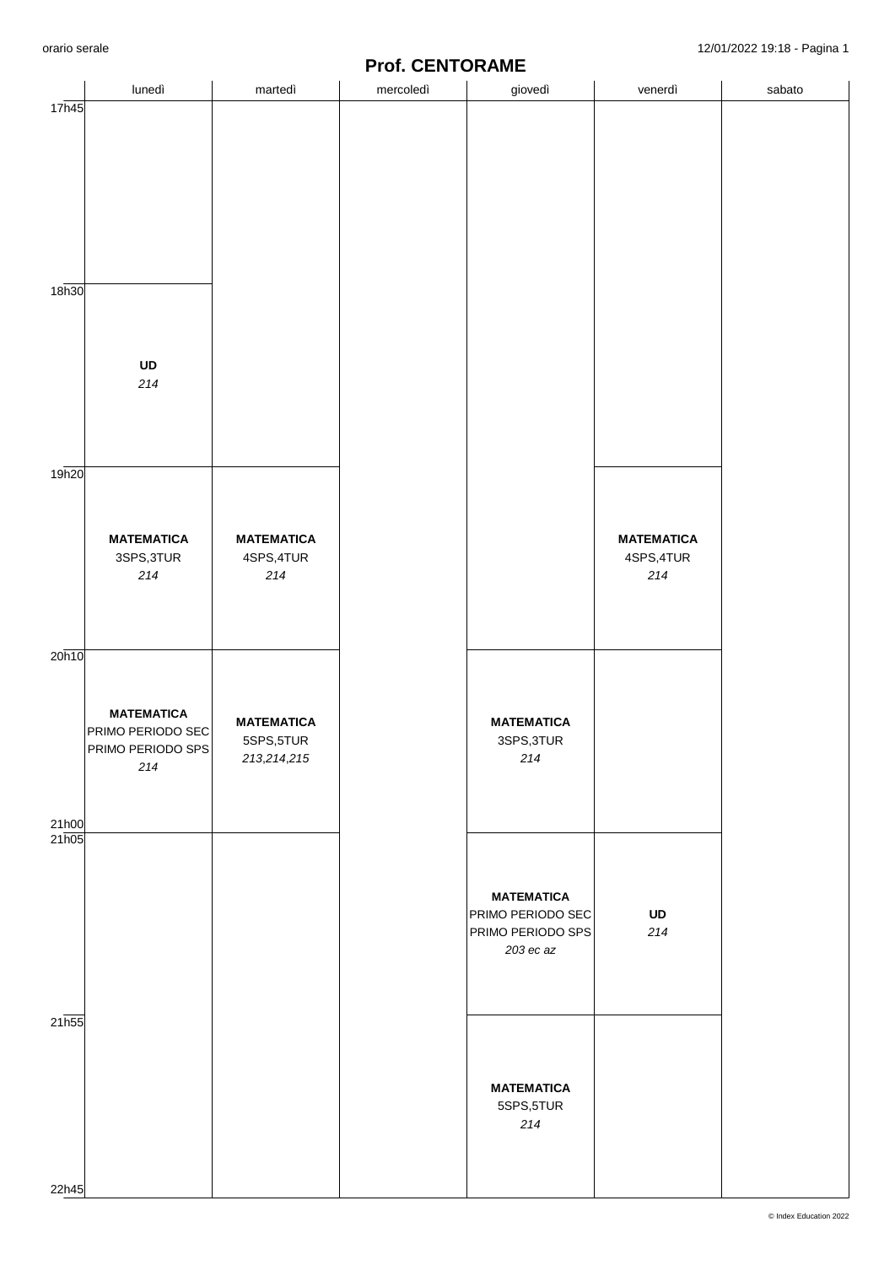## **Prof. CENTORAME**

|                   |                                                             |                                        | <b>I IVI. VLIVI VIVAIVIL</b> |                                                                            |                                        |        |
|-------------------|-------------------------------------------------------------|----------------------------------------|------------------------------|----------------------------------------------------------------------------|----------------------------------------|--------|
|                   | lunedì                                                      | martedì                                | mercoledì                    | giovedì                                                                    | venerdì                                | sabato |
| 17h45             |                                                             |                                        |                              |                                                                            |                                        |        |
| 18 <sub>h30</sub> |                                                             |                                        |                              |                                                                            |                                        |        |
|                   | UD<br>214                                                   |                                        |                              |                                                                            |                                        |        |
| 19h20             |                                                             |                                        |                              |                                                                            |                                        |        |
|                   | <b>MATEMATICA</b><br>3SPS, 3TUR<br>214                      | <b>MATEMATICA</b><br>4SPS, 4TUR<br>214 |                              |                                                                            | <b>MATEMATICA</b><br>4SPS, 4TUR<br>214 |        |
| 20h10             | <b>MATEMATICA</b><br>PRIMO PERIODO SEC<br>PRIMO PERIODO SPS | <b>MATEMATICA</b><br>5SPS,5TUR         |                              | <b>MATEMATICA</b><br>3SPS,3TUR                                             |                                        |        |
| 21h00             | 214                                                         | 213,214,215                            |                              | 214                                                                        |                                        |        |
| 21h05             |                                                             |                                        |                              | <b>MATEMATICA</b><br>PRIMO PERIODO SEC<br>PRIMO PERIODO SPS<br>$203$ ec az | UD<br>$214\,$                          |        |
| 21h55             |                                                             |                                        |                              | <b>MATEMATICA</b><br>5SPS,5TUR<br>$214$                                    |                                        |        |
| 22h45             |                                                             |                                        |                              |                                                                            |                                        |        |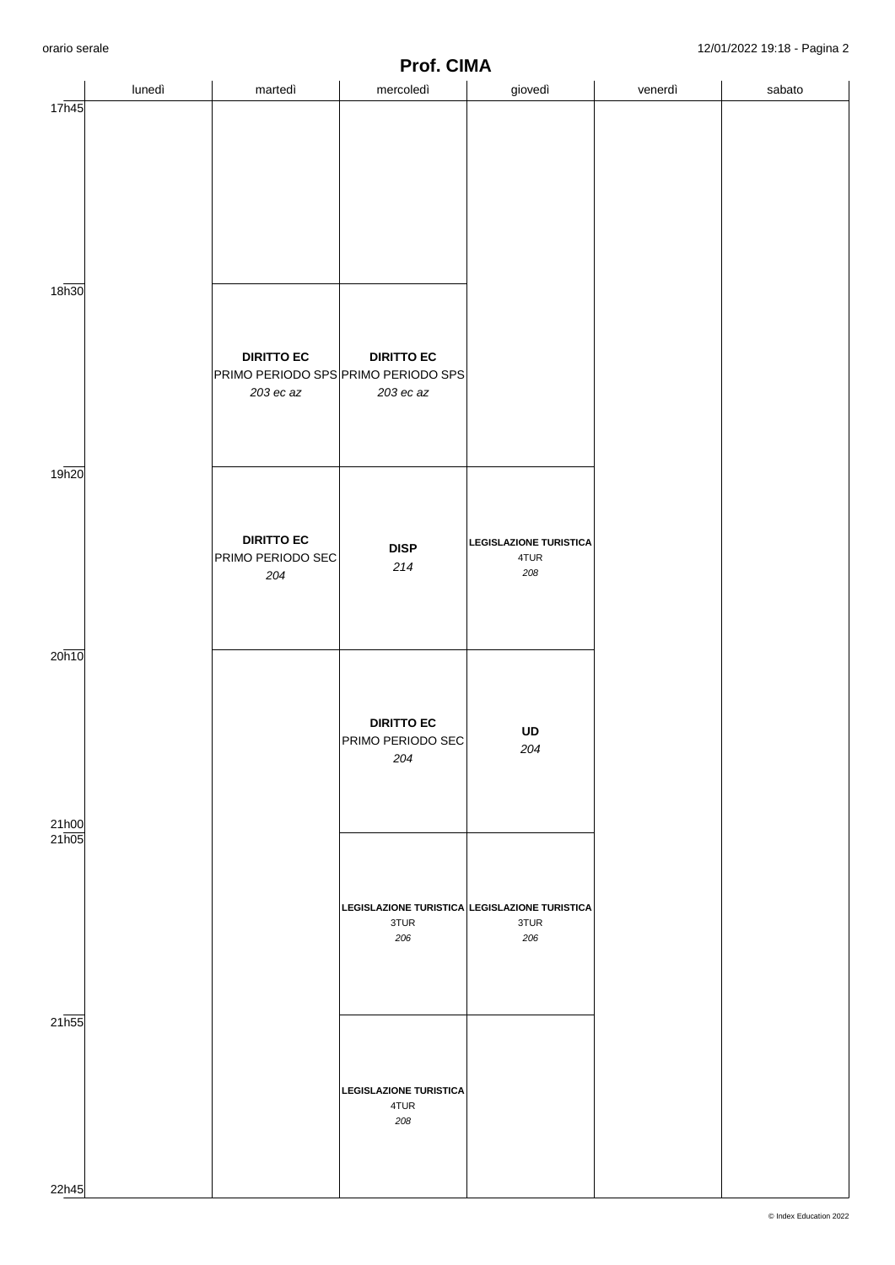|                            | lunedì | martedì                                       | .<br>.<br>mercoledì                                                   | ,,,,,,<br>giovedì                            | venerdì | sabato |
|----------------------------|--------|-----------------------------------------------|-----------------------------------------------------------------------|----------------------------------------------|---------|--------|
| 17h45<br>18h30             |        |                                               |                                                                       |                                              |         |        |
|                            |        | <b>DIRITTO EC</b><br>203 ec az                | <b>DIRITTO EC</b><br>PRIMO PERIODO SPS PRIMO PERIODO SPS<br>203 ec az |                                              |         |        |
| 19h20                      |        | <b>DIRITTO EC</b><br>PRIMO PERIODO SEC<br>204 | <b>DISP</b><br>$214$                                                  | <b>LEGISLAZIONE TURISTICA</b><br>4TUR<br>208 |         |        |
| 20h10                      |        |                                               | <b>DIRITTO EC</b><br>PRIMO PERIODO SEC<br>204                         | UD<br>204                                    |         |        |
| $\frac{21h00}{21h05}$      |        |                                               | LEGISLAZIONE TURISTICA LEGISLAZIONE TURISTICA<br>3TUR<br>206          | 3TUR<br>206                                  |         |        |
| 21 <sub>h55</sub><br>22h45 |        |                                               | <b>LEGISLAZIONE TURISTICA</b><br>4TUR<br>208                          |                                              |         |        |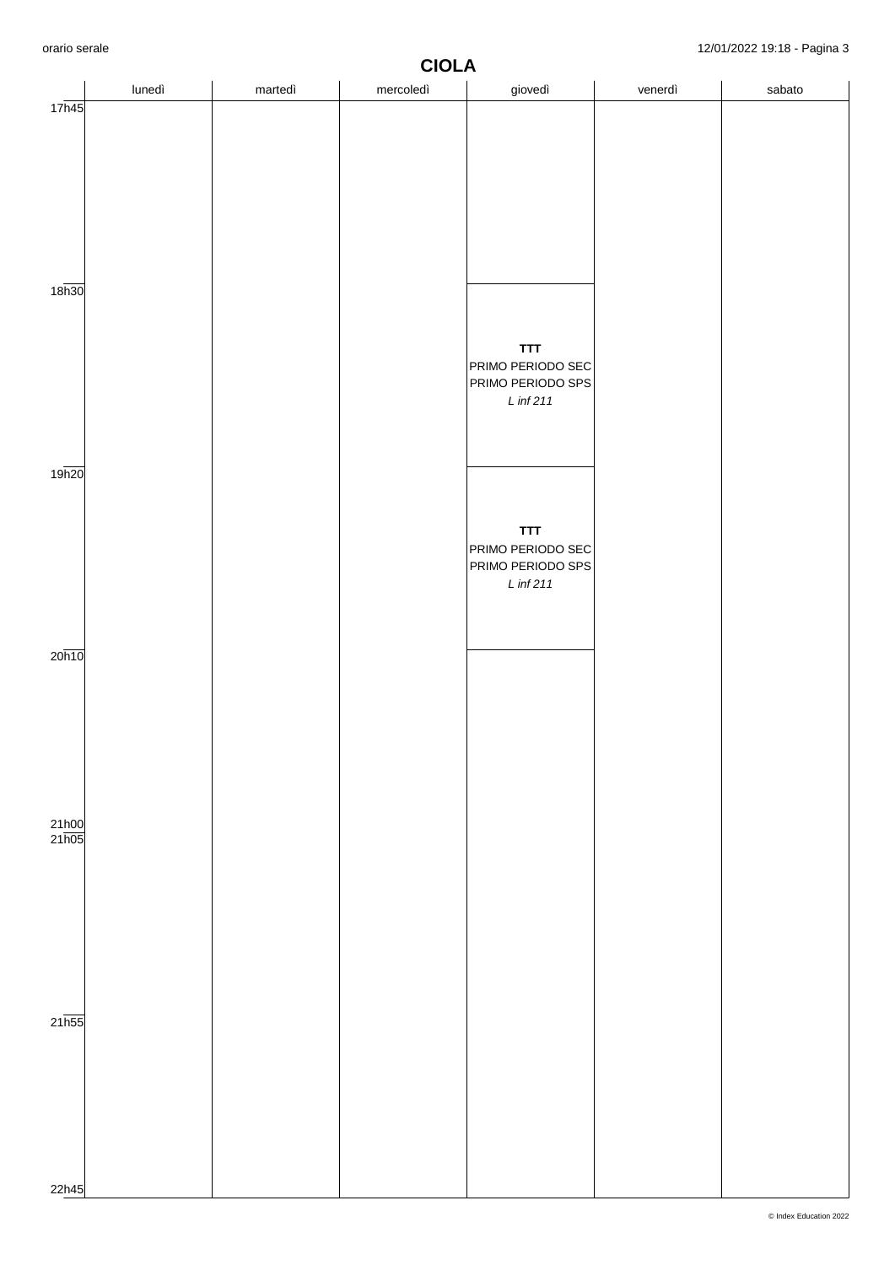|                       | nano soralo<br>$127017202210.10$ $1$ agma 0<br><b>CIOLA</b> |         |           |                                                                     |         |        |  |  |
|-----------------------|-------------------------------------------------------------|---------|-----------|---------------------------------------------------------------------|---------|--------|--|--|
|                       | lunedì                                                      | martedì | mercoledì | giovedì                                                             | venerdì | sabato |  |  |
| 17h45                 |                                                             |         |           |                                                                     |         |        |  |  |
| 18 <sub>h30</sub>     |                                                             |         |           | <b>TTT</b><br>PRIMO PERIODO SEC<br>PRIMO PERIODO SPS<br>$L$ inf 211 |         |        |  |  |
| 19h20                 |                                                             |         |           | <b>TTT</b><br>PRIMO PERIODO SEC<br>PRIMO PERIODO SPS<br>$L$ inf 211 |         |        |  |  |
| 20h10                 |                                                             |         |           |                                                                     |         |        |  |  |
| $\frac{21h00}{21h05}$ |                                                             |         |           |                                                                     |         |        |  |  |
| $21\overline{h55}$    |                                                             |         |           |                                                                     |         |        |  |  |
| 22h45                 |                                                             |         |           |                                                                     |         |        |  |  |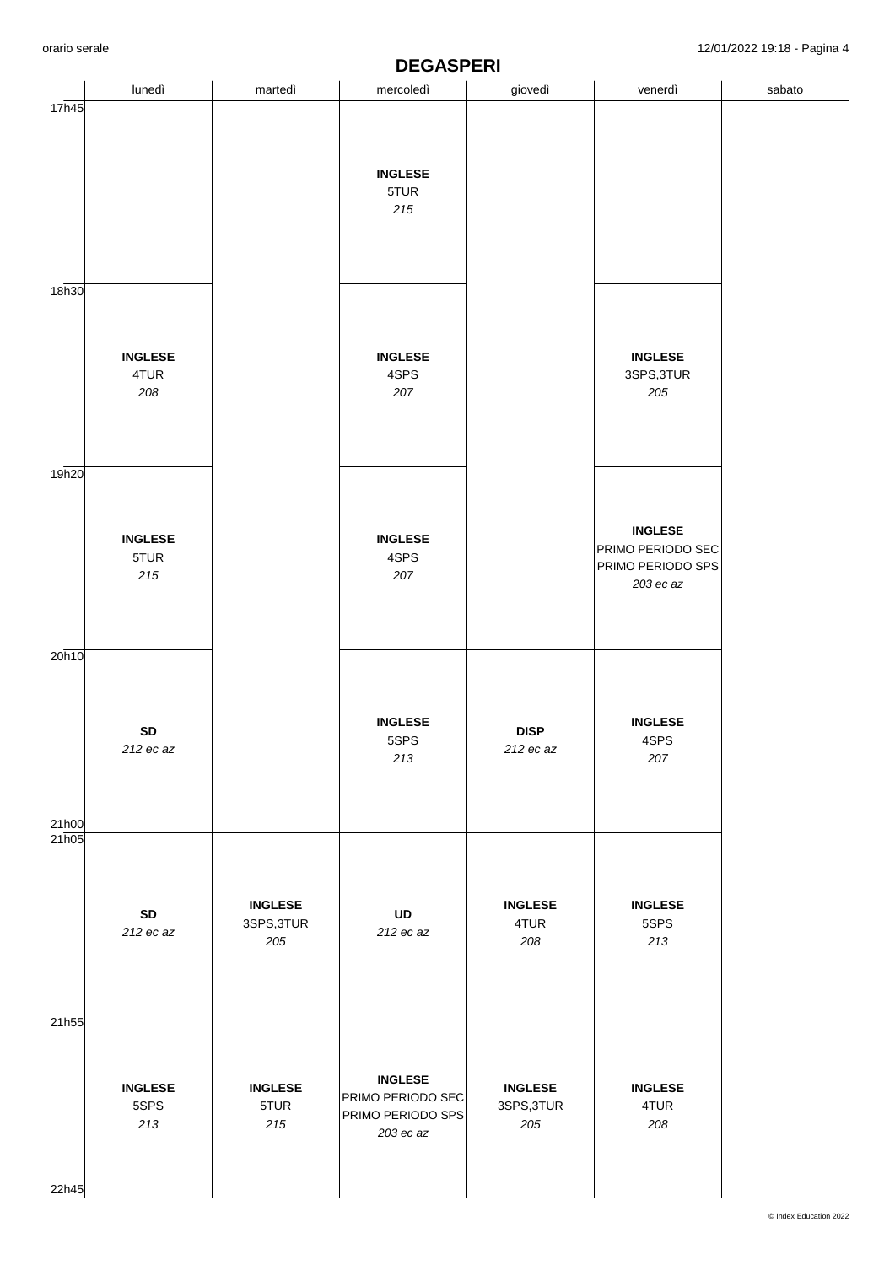|                            |                               |                                     | PLYNU LIN                                                             |                                     |                                                                       |        |
|----------------------------|-------------------------------|-------------------------------------|-----------------------------------------------------------------------|-------------------------------------|-----------------------------------------------------------------------|--------|
|                            | lunedì                        | martedì                             | mercoledì                                                             | giovedì                             | venerdì                                                               | sabato |
| 17h45                      |                               |                                     |                                                                       |                                     |                                                                       |        |
|                            |                               |                                     | <b>INGLESE</b><br>5TUR<br>215                                         |                                     |                                                                       |        |
| 18h30                      |                               |                                     |                                                                       |                                     |                                                                       |        |
|                            | <b>INGLESE</b><br>4TUR<br>208 |                                     | <b>INGLESE</b><br>4SPS<br>207                                         |                                     | <b>INGLESE</b><br>3SPS, 3TUR<br>205                                   |        |
| 19 <sub>h20</sub>          |                               |                                     |                                                                       |                                     |                                                                       |        |
|                            | <b>INGLESE</b><br>5TUR<br>215 |                                     | <b>INGLESE</b><br>4SPS<br>207                                         |                                     | <b>INGLESE</b><br>PRIMO PERIODO SEC<br>PRIMO PERIODO SPS<br>203 ec az |        |
| 20h10                      |                               |                                     |                                                                       |                                     |                                                                       |        |
| 21h00                      | ${\sf SD}$<br>212 ec az       |                                     | <b>INGLESE</b><br>5SPS<br>213                                         | <b>DISP</b><br>212 ec az            | <b>INGLESE</b><br>4SPS<br>207                                         |        |
| 21h05                      | ${\sf SD}$<br>212 ec az       | <b>INGLESE</b><br>3SPS, 3TUR<br>205 | UD<br>212 ec az                                                       | <b>INGLESE</b><br>4TUR<br>208       | <b>INGLESE</b><br>5SPS<br>213                                         |        |
| 21 <sub>h55</sub><br>22h45 | <b>INGLESE</b><br>5SPS<br>213 | <b>INGLESE</b><br>5TUR<br>215       | <b>INGLESE</b><br>PRIMO PERIODO SEC<br>PRIMO PERIODO SPS<br>203 ec az | <b>INGLESE</b><br>3SPS, 3TUR<br>205 | <b>INGLESE</b><br>4TUR<br>208                                         |        |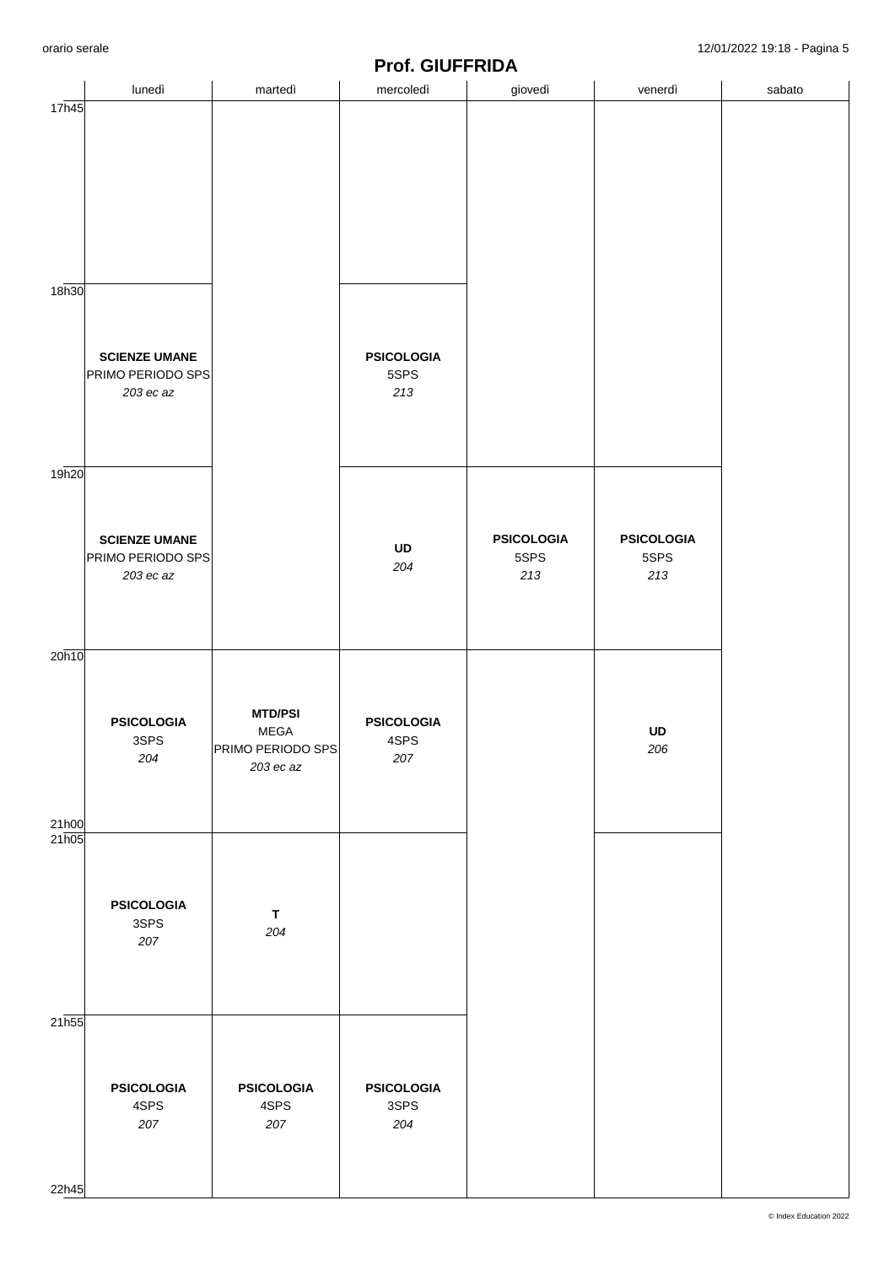|                |                                                        |                                                                 | <u>IIVI. VIVI IIIVA</u>          |                                  |                                  |        |
|----------------|--------------------------------------------------------|-----------------------------------------------------------------|----------------------------------|----------------------------------|----------------------------------|--------|
|                | lunedì                                                 | martedì                                                         | mercoledì                        | giovedì                          | venerdì                          | sabato |
| 17h45<br>18h30 |                                                        |                                                                 |                                  |                                  |                                  |        |
|                | <b>SCIENZE UMANE</b><br>PRIMO PERIODO SPS<br>203 ec az |                                                                 | <b>PSICOLOGIA</b><br>5SPS<br>213 |                                  |                                  |        |
| 19h20          | <b>SCIENZE UMANE</b><br>PRIMO PERIODO SPS<br>203 ec az |                                                                 | UD<br>204                        | <b>PSICOLOGIA</b><br>5SPS<br>213 | <b>PSICOLOGIA</b><br>5SPS<br>213 |        |
| 20h10<br>21h00 | <b>PSICOLOGIA</b><br>3SPS<br>204                       | <b>MTD/PSI</b><br><b>MEGA</b><br>PRIMO PERIODO SPS<br>203 ec az | <b>PSICOLOGIA</b><br>4SPS<br>207 |                                  | UD<br>206                        |        |
| 21h05          | <b>PSICOLOGIA</b><br>3SPS<br>207                       | $\mathsf T$<br>204                                              |                                  |                                  |                                  |        |
| 21h55<br>22h45 | <b>PSICOLOGIA</b><br>4SPS<br>207                       | <b>PSICOLOGIA</b><br>4SPS<br>207                                | <b>PSICOLOGIA</b><br>3SPS<br>204 |                                  |                                  |        |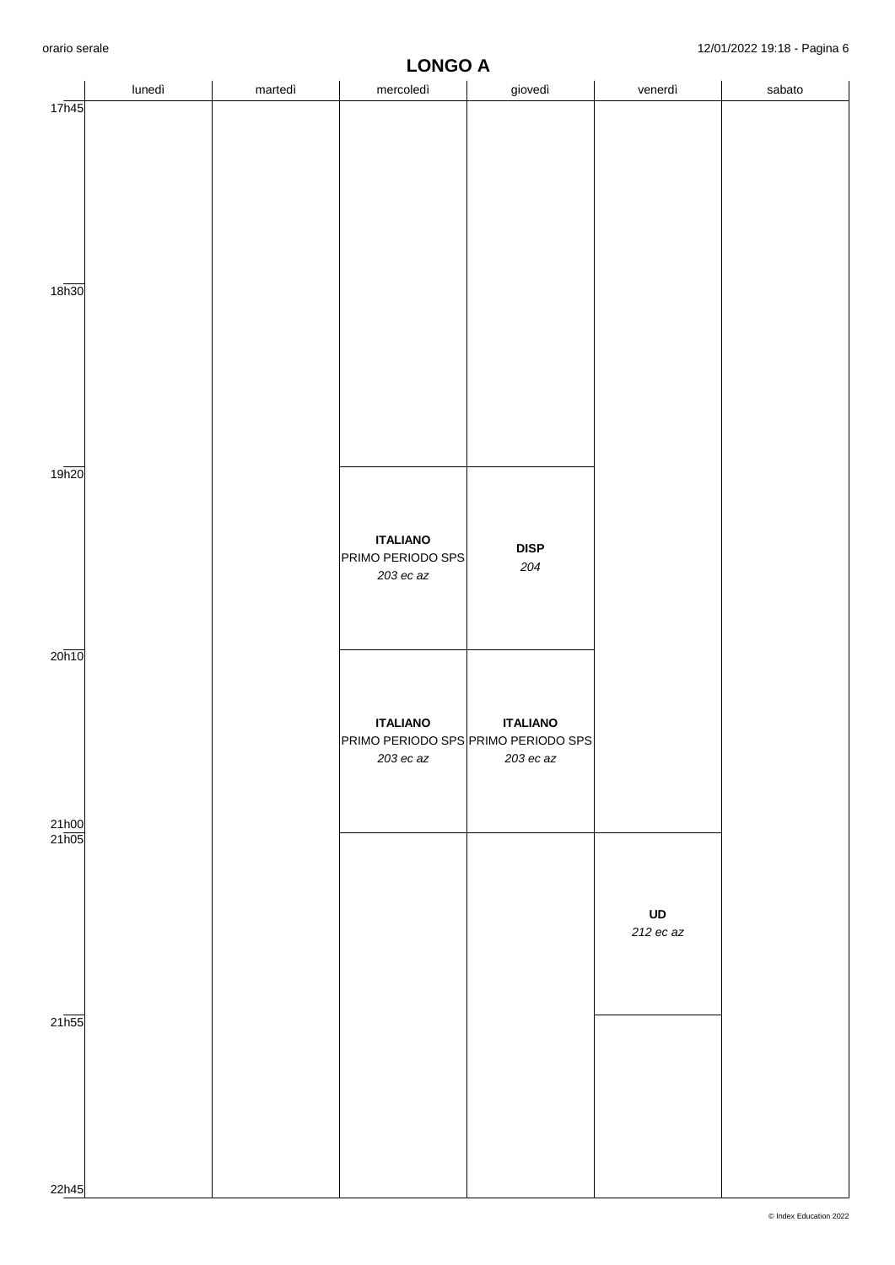|                             | lunedì | martedì | $ -$<br>mercoledì                                                     | $ -$<br>giovedì                | venerdì         | sabato |
|-----------------------------|--------|---------|-----------------------------------------------------------------------|--------------------------------|-----------------|--------|
| 17h45                       |        |         |                                                                       |                                |                 |        |
| 18 <sub>h30</sub>           |        |         |                                                                       |                                |                 |        |
| 19h20                       |        |         | <b>ITALIANO</b><br>PRIMO PERIODO SPS<br>$203$ ec az                   | <b>DISP</b><br>204             |                 |        |
| 20h10                       |        |         | <b>ITALIANO</b><br>PRIMO PERIODO SPS PRIMO PERIODO SPS<br>$203$ ec az | <b>ITALIANO</b><br>$203$ ec az |                 |        |
| 21h00<br>$21\overline{h05}$ |        |         |                                                                       |                                | UD<br>212 ec az |        |
| $21\overline{\text{h}55}$   |        |         |                                                                       |                                |                 |        |
| 22h45                       |        |         |                                                                       |                                |                 |        |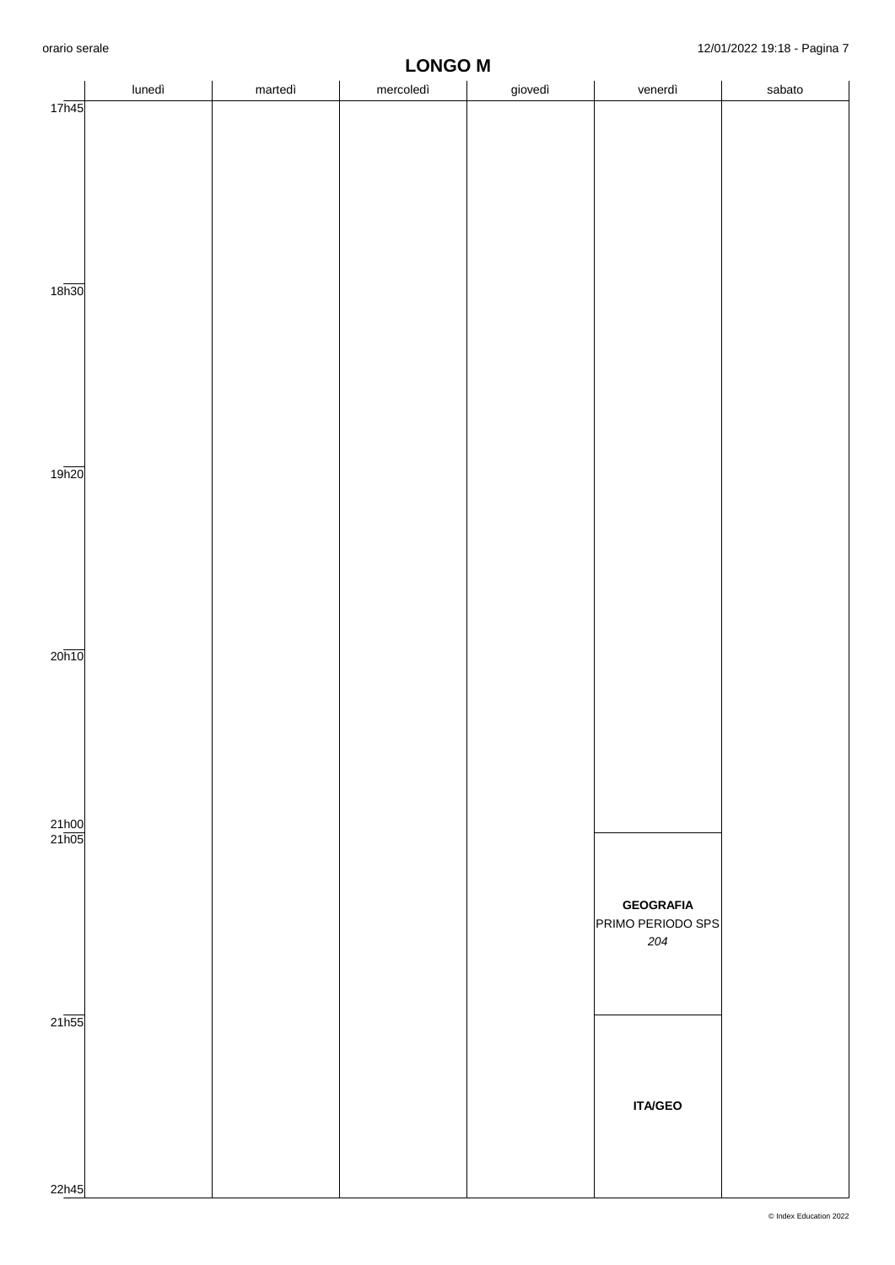|                    |        |         | <b>LONGO M</b> |         |                   |        |
|--------------------|--------|---------|----------------|---------|-------------------|--------|
|                    | lunedì | martedì | mercoledì      | giovedì | venerdì           | sabato |
|                    |        |         |                |         |                   |        |
| 17h45              |        |         |                |         |                   |        |
|                    |        |         |                |         |                   |        |
|                    |        |         |                |         |                   |        |
|                    |        |         |                |         |                   |        |
|                    |        |         |                |         |                   |        |
|                    |        |         |                |         |                   |        |
|                    |        |         |                |         |                   |        |
|                    |        |         |                |         |                   |        |
|                    |        |         |                |         |                   |        |
|                    |        |         |                |         |                   |        |
|                    |        |         |                |         |                   |        |
|                    |        |         |                |         |                   |        |
|                    |        |         |                |         |                   |        |
| 18 <sub>h30</sub>  |        |         |                |         |                   |        |
|                    |        |         |                |         |                   |        |
|                    |        |         |                |         |                   |        |
|                    |        |         |                |         |                   |        |
|                    |        |         |                |         |                   |        |
|                    |        |         |                |         |                   |        |
|                    |        |         |                |         |                   |        |
|                    |        |         |                |         |                   |        |
|                    |        |         |                |         |                   |        |
|                    |        |         |                |         |                   |        |
|                    |        |         |                |         |                   |        |
|                    |        |         |                |         |                   |        |
|                    |        |         |                |         |                   |        |
| 19h20              |        |         |                |         |                   |        |
|                    |        |         |                |         |                   |        |
|                    |        |         |                |         |                   |        |
|                    |        |         |                |         |                   |        |
|                    |        |         |                |         |                   |        |
|                    |        |         |                |         |                   |        |
|                    |        |         |                |         |                   |        |
|                    |        |         |                |         |                   |        |
|                    |        |         |                |         |                   |        |
|                    |        |         |                |         |                   |        |
|                    |        |         |                |         |                   |        |
|                    |        |         |                |         |                   |        |
|                    |        |         |                |         |                   |        |
| $20\overline{h10}$ |        |         |                |         |                   |        |
|                    |        |         |                |         |                   |        |
|                    |        |         |                |         |                   |        |
|                    |        |         |                |         |                   |        |
|                    |        |         |                |         |                   |        |
|                    |        |         |                |         |                   |        |
|                    |        |         |                |         |                   |        |
|                    |        |         |                |         |                   |        |
|                    |        |         |                |         |                   |        |
|                    |        |         |                |         |                   |        |
|                    |        |         |                |         |                   |        |
|                    |        |         |                |         |                   |        |
| 21h00              |        |         |                |         |                   |        |
|                    |        |         |                |         |                   |        |
| 21h05              |        |         |                |         |                   |        |
|                    |        |         |                |         |                   |        |
|                    |        |         |                |         |                   |        |
|                    |        |         |                |         |                   |        |
|                    |        |         |                |         | <b>GEOGRAFIA</b>  |        |
|                    |        |         |                |         |                   |        |
|                    |        |         |                |         | PRIMO PERIODO SPS |        |
|                    |        |         |                |         | 204               |        |
|                    |        |         |                |         |                   |        |
|                    |        |         |                |         |                   |        |
|                    |        |         |                |         |                   |        |
|                    |        |         |                |         |                   |        |
|                    |        |         |                |         |                   |        |
| 21h55              |        |         |                |         |                   |        |
|                    |        |         |                |         |                   |        |
|                    |        |         |                |         |                   |        |
|                    |        |         |                |         |                   |        |
|                    |        |         |                |         |                   |        |
|                    |        |         |                |         |                   |        |
|                    |        |         |                |         | <b>ITA/GEO</b>    |        |
|                    |        |         |                |         |                   |        |
|                    |        |         |                |         |                   |        |
|                    |        |         |                |         |                   |        |
|                    |        |         |                |         |                   |        |
|                    |        |         |                |         |                   |        |
| 22h45              |        |         |                |         |                   |        |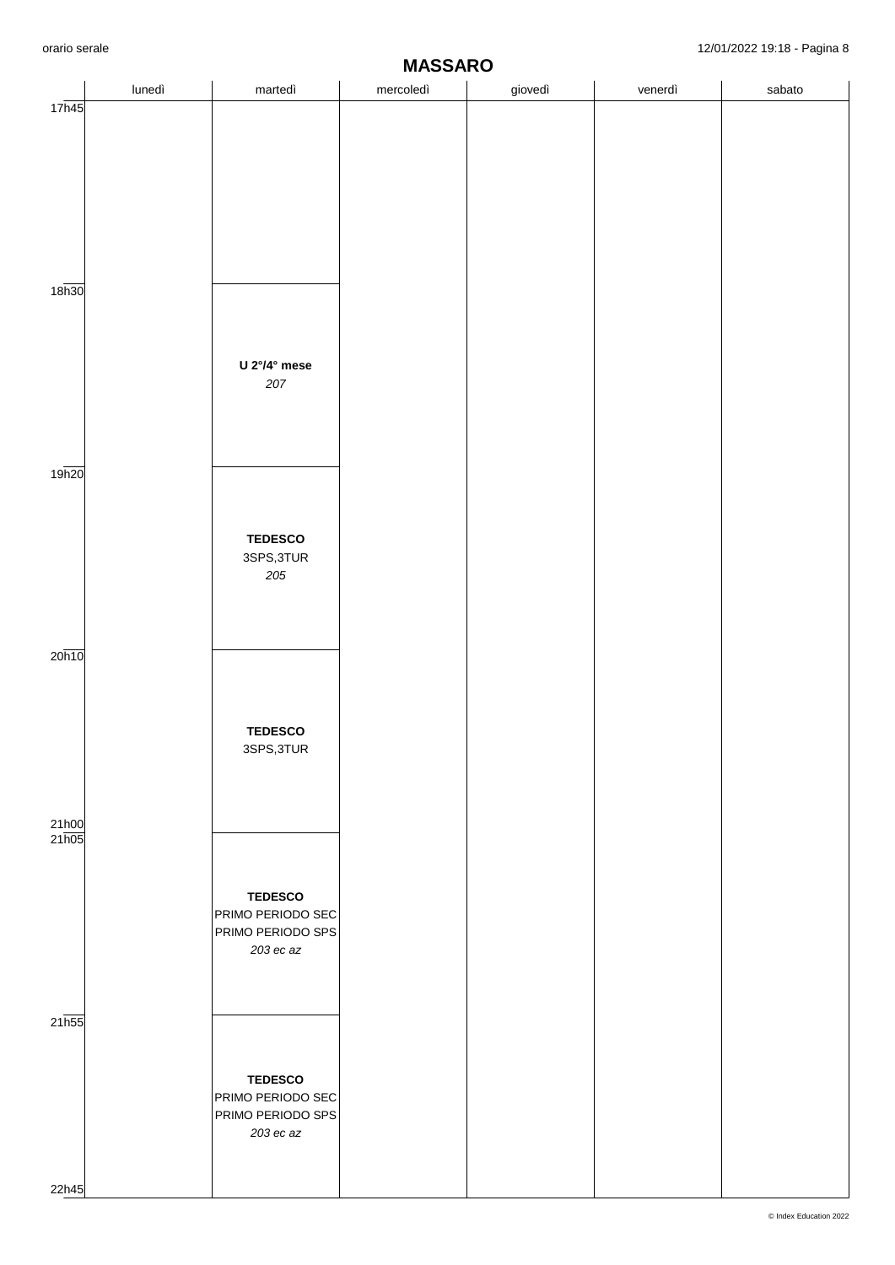| lunedì<br>U 2°/4° mese<br>207<br><b>TEDESCO</b><br>3SPS,3TUR<br>$205\,$<br><b>TEDESCO</b><br>3SPS, 3TUR<br><b>TEDESCO</b><br>PRIMO PERIODO SEC<br>PRIMO PERIODO SPS<br>203 ec az<br><b>TEDESCO</b> |  |                   | <b>INITUOTILE</b> |         |         |        |
|----------------------------------------------------------------------------------------------------------------------------------------------------------------------------------------------------|--|-------------------|-------------------|---------|---------|--------|
| 17h45<br>18 <sub>h30</sub><br>19h20<br>20h10<br>21h00<br>21h05<br>21h55                                                                                                                            |  | martedì           | mercoledì         | giovedì | venerdì | sabato |
|                                                                                                                                                                                                    |  |                   |                   |         |         |        |
|                                                                                                                                                                                                    |  |                   |                   |         |         |        |
|                                                                                                                                                                                                    |  |                   |                   |         |         |        |
|                                                                                                                                                                                                    |  |                   |                   |         |         |        |
|                                                                                                                                                                                                    |  |                   |                   |         |         |        |
|                                                                                                                                                                                                    |  |                   |                   |         |         |        |
|                                                                                                                                                                                                    |  |                   |                   |         |         |        |
|                                                                                                                                                                                                    |  |                   |                   |         |         |        |
|                                                                                                                                                                                                    |  |                   |                   |         |         |        |
|                                                                                                                                                                                                    |  |                   |                   |         |         |        |
|                                                                                                                                                                                                    |  |                   |                   |         |         |        |
|                                                                                                                                                                                                    |  |                   |                   |         |         |        |
|                                                                                                                                                                                                    |  |                   |                   |         |         |        |
|                                                                                                                                                                                                    |  |                   |                   |         |         |        |
|                                                                                                                                                                                                    |  |                   |                   |         |         |        |
|                                                                                                                                                                                                    |  |                   |                   |         |         |        |
|                                                                                                                                                                                                    |  |                   |                   |         |         |        |
|                                                                                                                                                                                                    |  |                   |                   |         |         |        |
|                                                                                                                                                                                                    |  |                   |                   |         |         |        |
|                                                                                                                                                                                                    |  |                   |                   |         |         |        |
|                                                                                                                                                                                                    |  |                   |                   |         |         |        |
|                                                                                                                                                                                                    |  |                   |                   |         |         |        |
|                                                                                                                                                                                                    |  |                   |                   |         |         |        |
|                                                                                                                                                                                                    |  |                   |                   |         |         |        |
|                                                                                                                                                                                                    |  |                   |                   |         |         |        |
|                                                                                                                                                                                                    |  |                   |                   |         |         |        |
|                                                                                                                                                                                                    |  |                   |                   |         |         |        |
|                                                                                                                                                                                                    |  |                   |                   |         |         |        |
|                                                                                                                                                                                                    |  |                   |                   |         |         |        |
|                                                                                                                                                                                                    |  |                   |                   |         |         |        |
|                                                                                                                                                                                                    |  |                   |                   |         |         |        |
|                                                                                                                                                                                                    |  |                   |                   |         |         |        |
|                                                                                                                                                                                                    |  |                   |                   |         |         |        |
|                                                                                                                                                                                                    |  |                   |                   |         |         |        |
|                                                                                                                                                                                                    |  |                   |                   |         |         |        |
|                                                                                                                                                                                                    |  |                   |                   |         |         |        |
|                                                                                                                                                                                                    |  |                   |                   |         |         |        |
|                                                                                                                                                                                                    |  |                   |                   |         |         |        |
|                                                                                                                                                                                                    |  |                   |                   |         |         |        |
|                                                                                                                                                                                                    |  |                   |                   |         |         |        |
|                                                                                                                                                                                                    |  |                   |                   |         |         |        |
|                                                                                                                                                                                                    |  |                   |                   |         |         |        |
|                                                                                                                                                                                                    |  |                   |                   |         |         |        |
|                                                                                                                                                                                                    |  |                   |                   |         |         |        |
|                                                                                                                                                                                                    |  |                   |                   |         |         |        |
|                                                                                                                                                                                                    |  |                   |                   |         |         |        |
|                                                                                                                                                                                                    |  |                   |                   |         |         |        |
|                                                                                                                                                                                                    |  |                   |                   |         |         |        |
|                                                                                                                                                                                                    |  |                   |                   |         |         |        |
|                                                                                                                                                                                                    |  |                   |                   |         |         |        |
|                                                                                                                                                                                                    |  |                   |                   |         |         |        |
|                                                                                                                                                                                                    |  |                   |                   |         |         |        |
|                                                                                                                                                                                                    |  |                   |                   |         |         |        |
|                                                                                                                                                                                                    |  |                   |                   |         |         |        |
|                                                                                                                                                                                                    |  |                   |                   |         |         |        |
|                                                                                                                                                                                                    |  |                   |                   |         |         |        |
|                                                                                                                                                                                                    |  |                   |                   |         |         |        |
|                                                                                                                                                                                                    |  |                   |                   |         |         |        |
|                                                                                                                                                                                                    |  |                   |                   |         |         |        |
|                                                                                                                                                                                                    |  |                   |                   |         |         |        |
|                                                                                                                                                                                                    |  |                   |                   |         |         |        |
|                                                                                                                                                                                                    |  |                   |                   |         |         |        |
|                                                                                                                                                                                                    |  |                   |                   |         |         |        |
|                                                                                                                                                                                                    |  |                   |                   |         |         |        |
|                                                                                                                                                                                                    |  |                   |                   |         |         |        |
|                                                                                                                                                                                                    |  |                   |                   |         |         |        |
|                                                                                                                                                                                                    |  |                   |                   |         |         |        |
|                                                                                                                                                                                                    |  |                   |                   |         |         |        |
|                                                                                                                                                                                                    |  |                   |                   |         |         |        |
|                                                                                                                                                                                                    |  | PRIMO PERIODO SEC |                   |         |         |        |
| PRIMO PERIODO SPS                                                                                                                                                                                  |  |                   |                   |         |         |        |
| $203$ ec az                                                                                                                                                                                        |  |                   |                   |         |         |        |
|                                                                                                                                                                                                    |  |                   |                   |         |         |        |
|                                                                                                                                                                                                    |  |                   |                   |         |         |        |
|                                                                                                                                                                                                    |  |                   |                   |         |         |        |
| 22h45                                                                                                                                                                                              |  |                   |                   |         |         |        |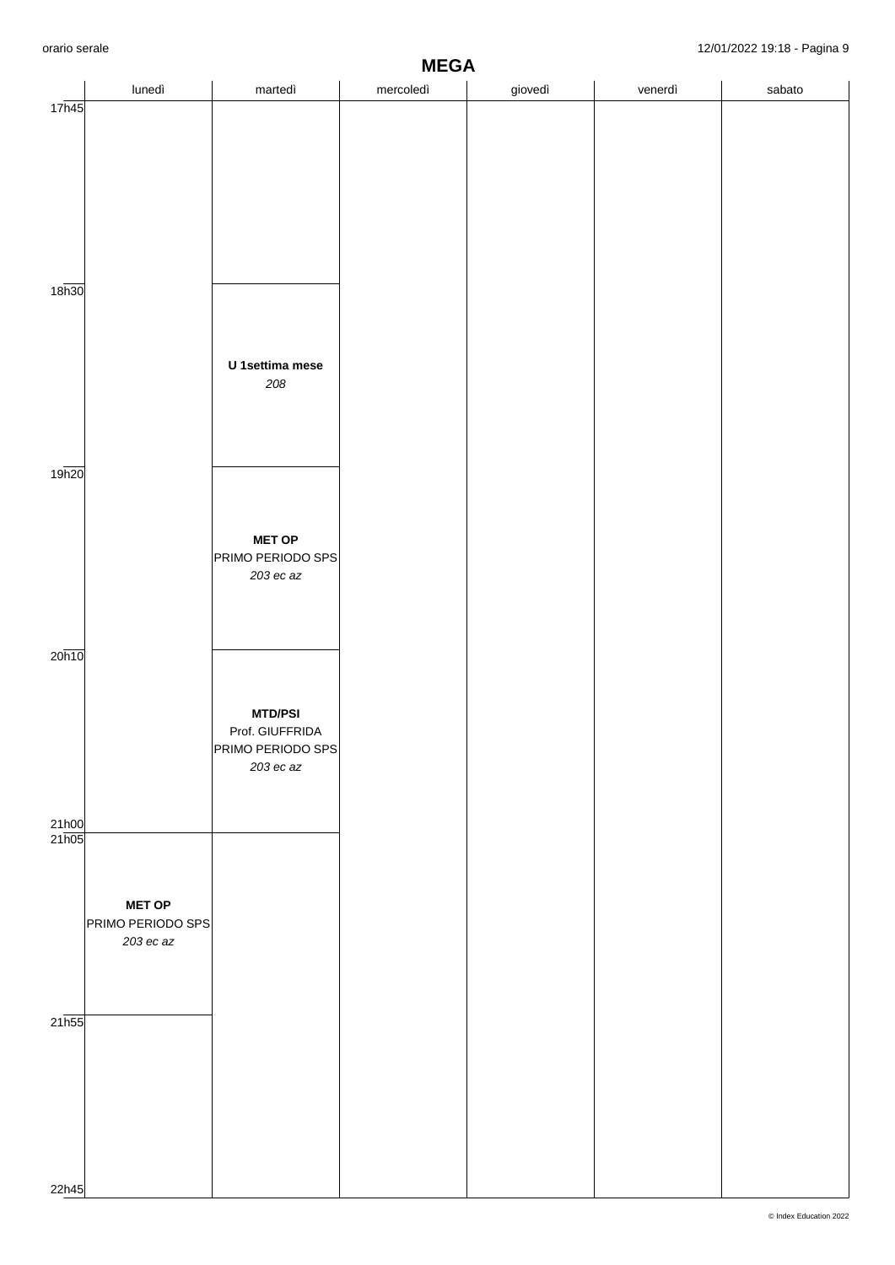|                |                                                   |                                                                     | <b>MEGA</b> |         |         | Ě      |
|----------------|---------------------------------------------------|---------------------------------------------------------------------|-------------|---------|---------|--------|
|                | lunedì                                            | martedì                                                             | mercoledì   | giovedì | venerdì | sabato |
| 17h45          |                                                   |                                                                     |             |         |         |        |
| 18h30          |                                                   | U 1settima mese<br>208                                              |             |         |         |        |
| 19h20          |                                                   | <b>MET OP</b><br>PRIMO PERIODO SPS<br>203 ec az                     |             |         |         |        |
| 20h10          |                                                   | <b>MTD/PSI</b><br>Prof. GIUFFRIDA<br>PRIMO PERIODO SPS<br>203 ec az |             |         |         |        |
| 21h00<br>21h05 | <b>MET OP</b><br>PRIMO PERIODO SPS<br>$203$ ec az |                                                                     |             |         |         |        |
| 21h55          |                                                   |                                                                     |             |         |         |        |
| 22h45          |                                                   |                                                                     |             |         |         |        |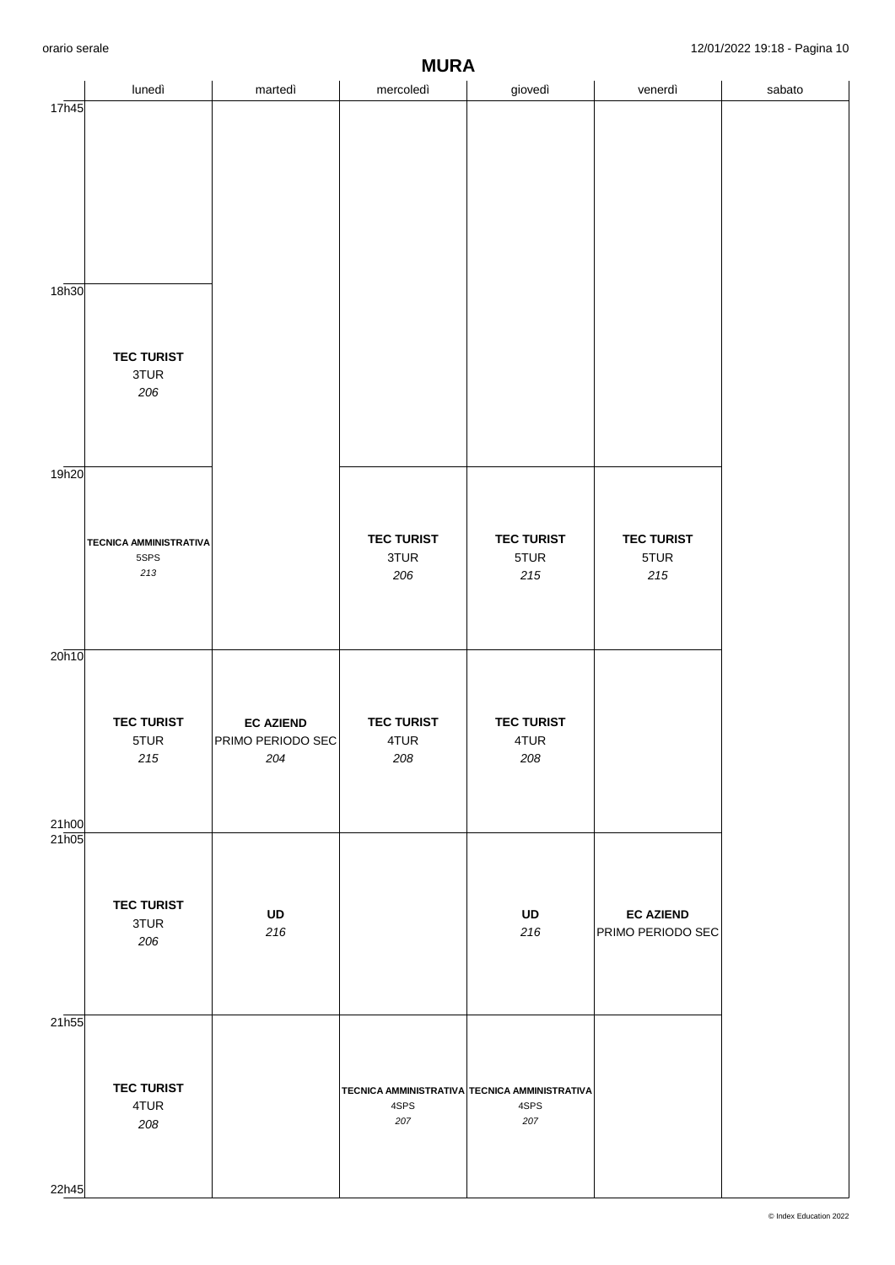|                | $\check{}$<br><b>MURA</b>                        |                                              |                                                              |                                      |                                       |        |  |  |  |  |
|----------------|--------------------------------------------------|----------------------------------------------|--------------------------------------------------------------|--------------------------------------|---------------------------------------|--------|--|--|--|--|
|                | lunedì                                           | martedì                                      | mercoledì                                                    | giovedì                              | venerdì                               | sabato |  |  |  |  |
| 17h45<br>18h30 |                                                  |                                              |                                                              |                                      |                                       |        |  |  |  |  |
|                | <b>TEC TURIST</b><br>3TUR<br>206                 |                                              |                                                              |                                      |                                       |        |  |  |  |  |
| 19h20          |                                                  |                                              |                                                              |                                      |                                       |        |  |  |  |  |
|                | <b>TECNICA AMMINISTRATIVA</b><br>5SPS<br>$213\,$ |                                              | <b>TEC TURIST</b><br>3TUR<br>206                             | <b>TEC TURIST</b><br>5TUR<br>$215\,$ | <b>TEC TURIST</b><br>5TUR<br>$215$    |        |  |  |  |  |
| 20h10          |                                                  |                                              |                                                              |                                      |                                       |        |  |  |  |  |
| 21h00          | <b>TEC TURIST</b><br>5TUR<br>215                 | <b>EC AZIEND</b><br>PRIMO PERIODO SEC<br>204 | <b>TEC TURIST</b><br>4TUR<br>208                             | <b>TEC TURIST</b><br>4TUR<br>208     |                                       |        |  |  |  |  |
| 21h05          | <b>TEC TURIST</b><br>3TUR<br>206                 | UD<br>216                                    |                                                              | UD<br>216                            | <b>EC AZIEND</b><br>PRIMO PERIODO SEC |        |  |  |  |  |
| 21h55<br>22h45 | <b>TEC TURIST</b><br>4TUR<br>208                 |                                              | TECNICA AMMINISTRATIVA TECNICA AMMINISTRATIVA<br>4SPS<br>207 | 4SPS<br>207                          |                                       |        |  |  |  |  |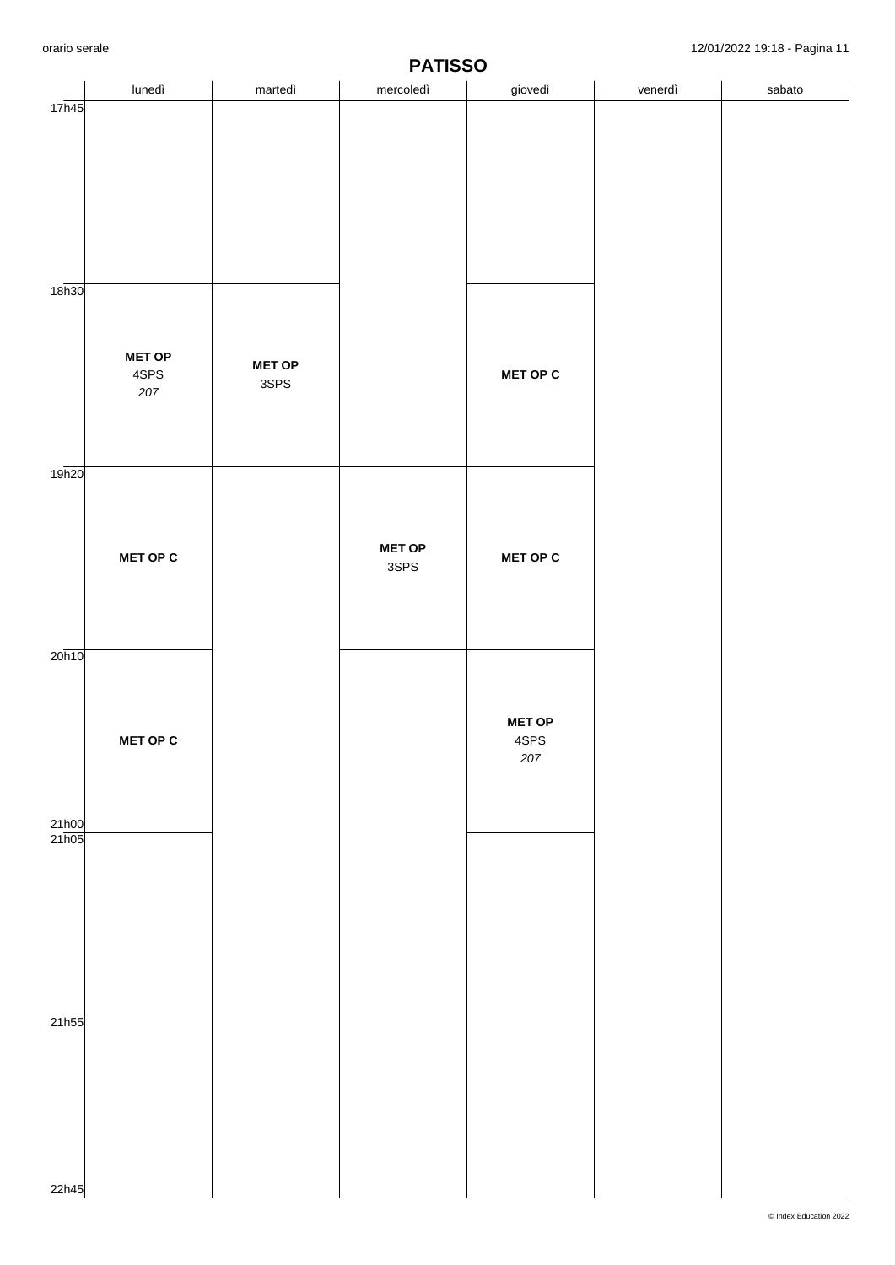|                           | $\tilde{\phantom{a}}$<br><b>PATISSO</b> |                       |                       |                              |         |        |  |  |  |
|---------------------------|-----------------------------------------|-----------------------|-----------------------|------------------------------|---------|--------|--|--|--|
|                           | lunedì                                  | martedì               | mercoledì             | giovedì                      | venerdì | sabato |  |  |  |
| 17h45                     |                                         |                       |                       |                              |         |        |  |  |  |
| 18 <sub>h30</sub>         | <b>MET OP</b><br>4SPS<br>207            | <b>MET OP</b><br>3SPS |                       | <b>MET OP C</b>              |         |        |  |  |  |
| 19h20                     |                                         |                       |                       |                              |         |        |  |  |  |
|                           | <b>MET OP C</b>                         |                       | <b>MET OP</b><br>3SPS | <b>MET OP C</b>              |         |        |  |  |  |
| 20h10                     |                                         |                       |                       |                              |         |        |  |  |  |
| 21h00                     | MET OP C                                |                       |                       | <b>MET OP</b><br>4SPS<br>207 |         |        |  |  |  |
| 21h05                     |                                         |                       |                       |                              |         |        |  |  |  |
| $21\overline{\text{h}55}$ |                                         |                       |                       |                              |         |        |  |  |  |
| 22h45                     |                                         |                       |                       |                              |         |        |  |  |  |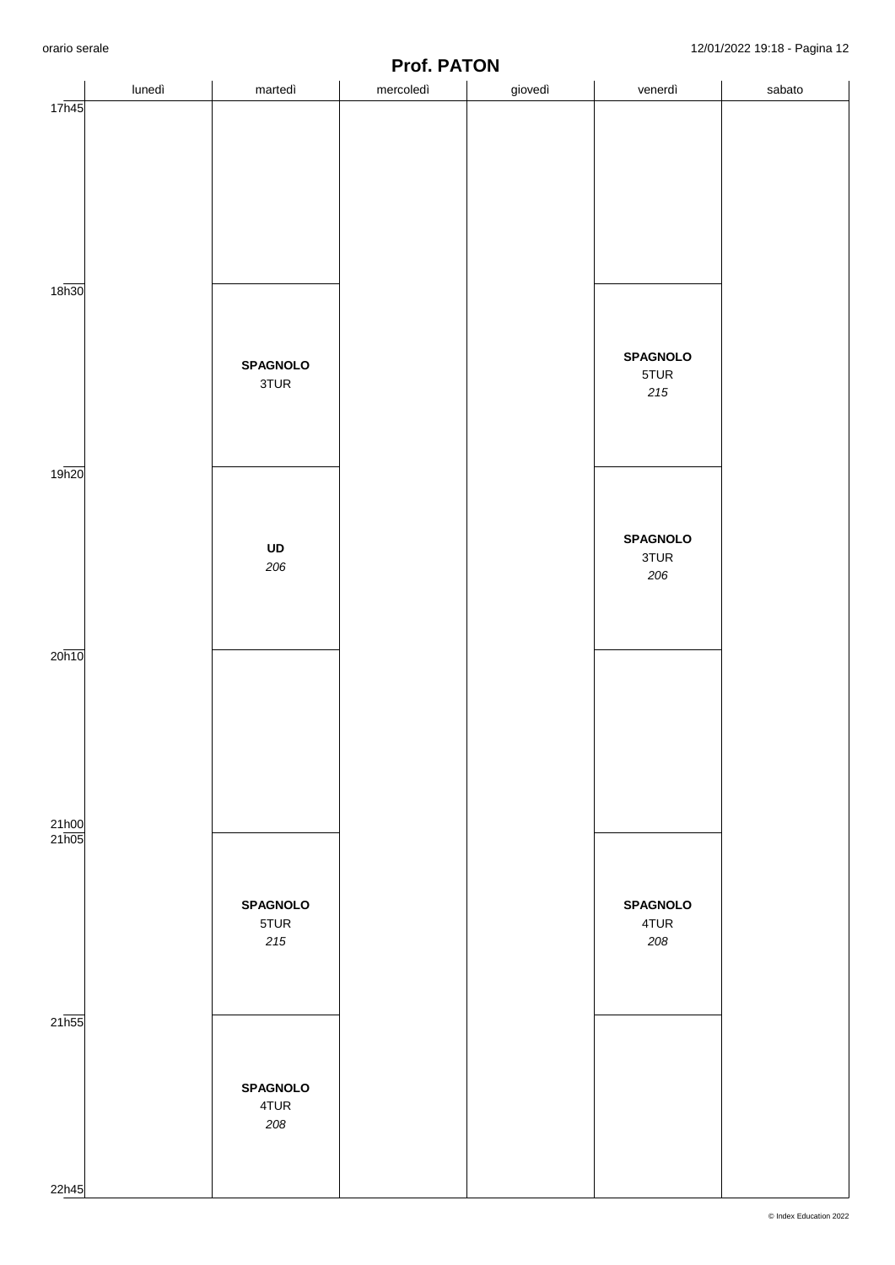|                    | lunedì | martedì         | mercoledì | giovedì | venerdì         | sabato |
|--------------------|--------|-----------------|-----------|---------|-----------------|--------|
| 17h45              |        |                 |           |         |                 |        |
|                    |        |                 |           |         |                 |        |
|                    |        |                 |           |         |                 |        |
|                    |        |                 |           |         |                 |        |
|                    |        |                 |           |         |                 |        |
|                    |        |                 |           |         |                 |        |
|                    |        |                 |           |         |                 |        |
|                    |        |                 |           |         |                 |        |
|                    |        |                 |           |         |                 |        |
| 18 <sub>h30</sub>  |        |                 |           |         |                 |        |
|                    |        |                 |           |         |                 |        |
|                    |        |                 |           |         |                 |        |
|                    |        | <b>SPAGNOLO</b> |           |         | <b>SPAGNOLO</b> |        |
|                    |        | 3TUR            |           |         | 5TUR<br>215     |        |
|                    |        |                 |           |         |                 |        |
|                    |        |                 |           |         |                 |        |
|                    |        |                 |           |         |                 |        |
| 19h20              |        |                 |           |         |                 |        |
|                    |        |                 |           |         |                 |        |
|                    |        |                 |           |         |                 |        |
|                    |        |                 |           |         | <b>SPAGNOLO</b> |        |
|                    |        | UD<br>206       |           |         | 3TUR            |        |
|                    |        |                 |           |         | 206             |        |
|                    |        |                 |           |         |                 |        |
|                    |        |                 |           |         |                 |        |
|                    |        |                 |           |         |                 |        |
| 20h10              |        |                 |           |         |                 |        |
|                    |        |                 |           |         |                 |        |
|                    |        |                 |           |         |                 |        |
|                    |        |                 |           |         |                 |        |
|                    |        |                 |           |         |                 |        |
|                    |        |                 |           |         |                 |        |
|                    |        |                 |           |         |                 |        |
| 21h00              |        |                 |           |         |                 |        |
| 21h05              |        |                 |           |         |                 |        |
|                    |        |                 |           |         |                 |        |
|                    |        |                 |           |         |                 |        |
|                    |        | <b>SPAGNOLO</b> |           |         | <b>SPAGNOLO</b> |        |
|                    |        | 5TUR            |           |         | 4TUR            |        |
|                    |        | $215\,$         |           |         | 208             |        |
|                    |        |                 |           |         |                 |        |
|                    |        |                 |           |         |                 |        |
| $21\overline{h55}$ |        |                 |           |         |                 |        |
|                    |        |                 |           |         |                 |        |
|                    |        |                 |           |         |                 |        |
|                    |        | <b>SPAGNOLO</b> |           |         |                 |        |
|                    |        | 4TUR            |           |         |                 |        |
|                    |        | 208             |           |         |                 |        |
|                    |        |                 |           |         |                 |        |
|                    |        |                 |           |         |                 |        |
| 22h45              |        |                 |           |         |                 |        |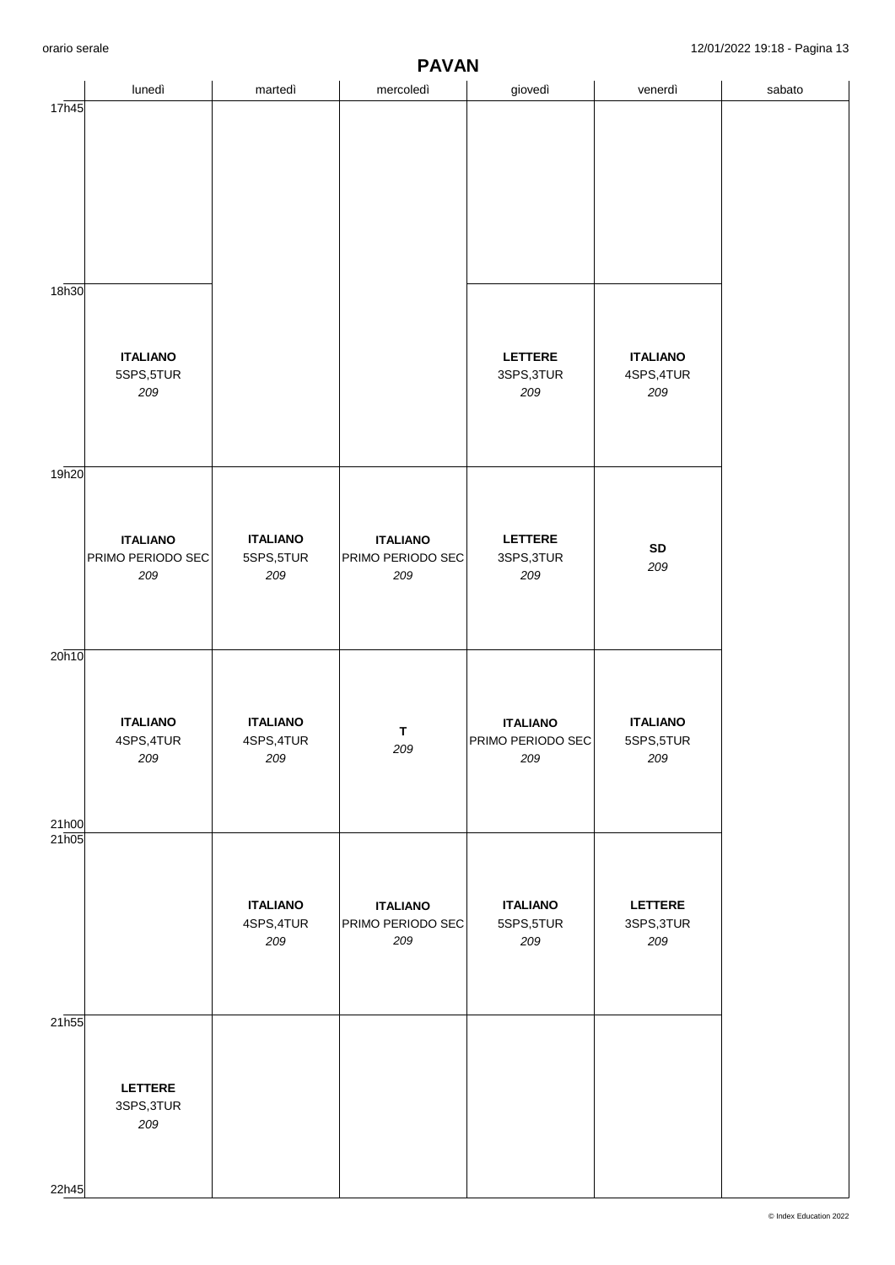|                   | lunedì                        | martedì                       | mercoledì                | giovedì                              | venerdì                      | sabato |
|-------------------|-------------------------------|-------------------------------|--------------------------|--------------------------------------|------------------------------|--------|
| 17h45             |                               |                               |                          |                                      |                              |        |
|                   |                               |                               |                          |                                      |                              |        |
|                   |                               |                               |                          |                                      |                              |        |
|                   |                               |                               |                          |                                      |                              |        |
|                   |                               |                               |                          |                                      |                              |        |
|                   |                               |                               |                          |                                      |                              |        |
|                   |                               |                               |                          |                                      |                              |        |
| 18h30             |                               |                               |                          |                                      |                              |        |
|                   |                               |                               |                          |                                      |                              |        |
|                   |                               |                               |                          |                                      |                              |        |
|                   | <b>ITALIANO</b>               |                               |                          | LETTERE                              | <b>ITALIANO</b>              |        |
|                   | 5SPS,5TUR<br>209              |                               |                          | 3SPS, 3TUR<br>209                    | 4SPS, 4TUR<br>209            |        |
|                   |                               |                               |                          |                                      |                              |        |
|                   |                               |                               |                          |                                      |                              |        |
| 19h20             |                               |                               |                          |                                      |                              |        |
|                   |                               |                               |                          |                                      |                              |        |
|                   |                               |                               |                          |                                      |                              |        |
|                   | <b>ITALIANO</b>               | <b>ITALIANO</b>               | <b>ITALIANO</b>          | <b>LETTERE</b>                       | ${\sf SD}$                   |        |
|                   | PRIMO PERIODO SEC             | 5SPS,5TUR                     | PRIMO PERIODO SEC        | 3SPS, 3TUR                           | 209                          |        |
|                   | 209                           | 209                           | 209                      | 209                                  |                              |        |
|                   |                               |                               |                          |                                      |                              |        |
|                   |                               |                               |                          |                                      |                              |        |
| 20h10             |                               |                               |                          |                                      |                              |        |
|                   |                               |                               |                          |                                      |                              |        |
|                   |                               |                               |                          |                                      |                              |        |
|                   | <b>ITALIANO</b><br>4SPS, 4TUR | <b>ITALIANO</b><br>4SPS, 4TUR | $\mathbf T$              | <b>ITALIANO</b><br>PRIMO PERIODO SEC | <b>ITALIANO</b><br>5SPS,5TUR |        |
|                   | 209                           | 209                           | 209                      | 209                                  | 209                          |        |
|                   |                               |                               |                          |                                      |                              |        |
|                   |                               |                               |                          |                                      |                              |        |
| 21h00<br>21h05    |                               |                               |                          |                                      |                              |        |
|                   |                               |                               |                          |                                      |                              |        |
|                   |                               |                               |                          |                                      |                              |        |
|                   |                               | <b>ITALIANO</b>               | <b>ITALIANO</b>          | <b>ITALIANO</b>                      | <b>LETTERE</b>               |        |
|                   |                               | 4SPS, 4TUR<br>209             | PRIMO PERIODO SEC<br>209 | 5SPS,5TUR<br>209                     | 3SPS, 3TUR<br>209            |        |
|                   |                               |                               |                          |                                      |                              |        |
|                   |                               |                               |                          |                                      |                              |        |
| 21 <sub>h55</sub> |                               |                               |                          |                                      |                              |        |
|                   |                               |                               |                          |                                      |                              |        |
|                   |                               |                               |                          |                                      |                              |        |
|                   | LETTERE                       |                               |                          |                                      |                              |        |
|                   | 3SPS, 3TUR                    |                               |                          |                                      |                              |        |
|                   | 209                           |                               |                          |                                      |                              |        |
|                   |                               |                               |                          |                                      |                              |        |
| 22h45             |                               |                               |                          |                                      |                              |        |

**PAVAN**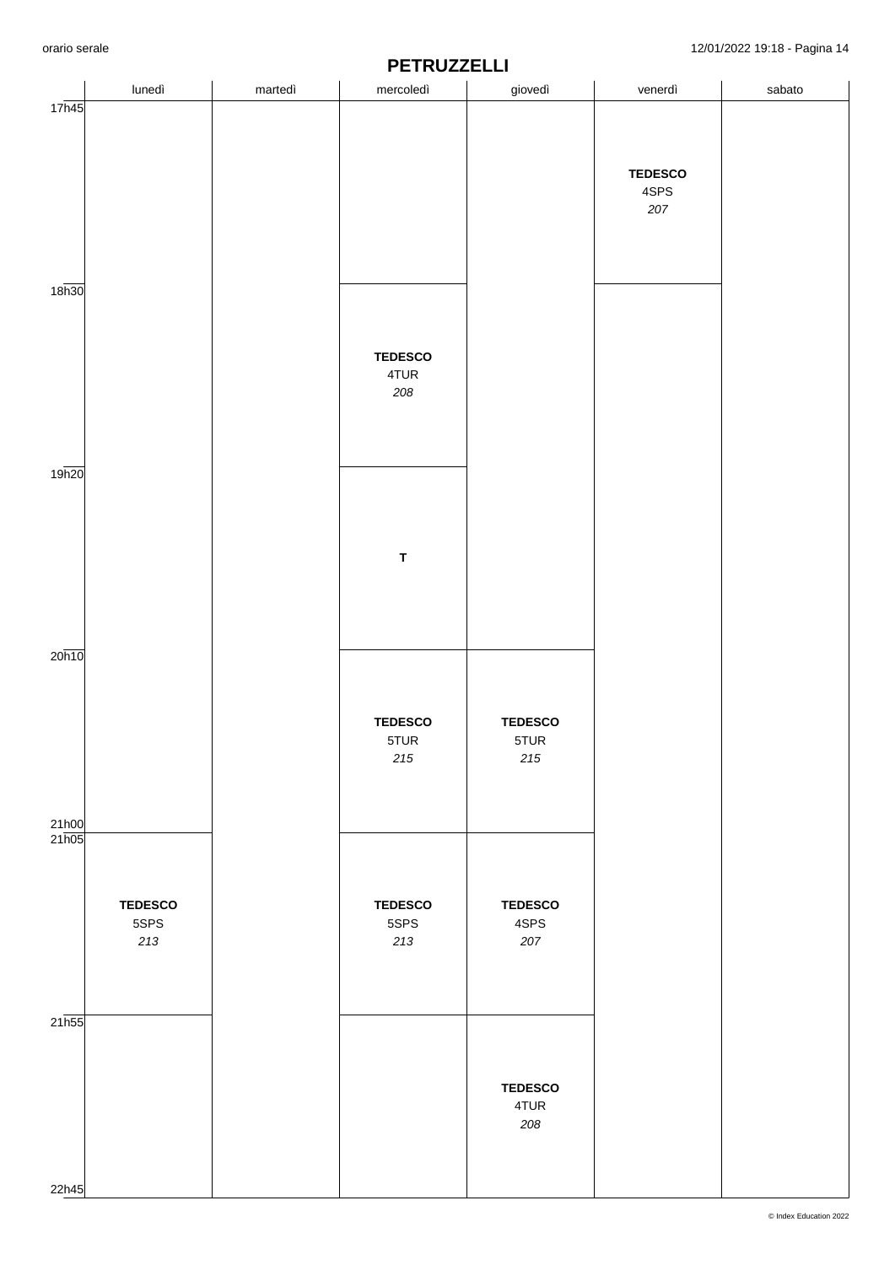|                    |                |         | <u>' L'INVELLLE</u> |                |                |        |
|--------------------|----------------|---------|---------------------|----------------|----------------|--------|
|                    | lunedì         | martedì | mercoledì           | giovedì        | venerdì        | sabato |
| 17h45              |                |         |                     |                |                |        |
|                    |                |         |                     |                |                |        |
|                    |                |         |                     |                |                |        |
|                    |                |         |                     |                |                |        |
|                    |                |         |                     |                |                |        |
|                    |                |         |                     |                | <b>TEDESCO</b> |        |
|                    |                |         |                     |                | 4SPS           |        |
|                    |                |         |                     |                |                |        |
|                    |                |         |                     |                | 207            |        |
|                    |                |         |                     |                |                |        |
|                    |                |         |                     |                |                |        |
|                    |                |         |                     |                |                |        |
|                    |                |         |                     |                |                |        |
| 18 <sub>h30</sub>  |                |         |                     |                |                |        |
|                    |                |         |                     |                |                |        |
|                    |                |         |                     |                |                |        |
|                    |                |         |                     |                |                |        |
|                    |                |         |                     |                |                |        |
|                    |                |         | <b>TEDESCO</b>      |                |                |        |
|                    |                |         | 4TUR                |                |                |        |
|                    |                |         | 208                 |                |                |        |
|                    |                |         |                     |                |                |        |
|                    |                |         |                     |                |                |        |
|                    |                |         |                     |                |                |        |
|                    |                |         |                     |                |                |        |
|                    |                |         |                     |                |                |        |
| 19h20              |                |         |                     |                |                |        |
|                    |                |         |                     |                |                |        |
|                    |                |         |                     |                |                |        |
|                    |                |         |                     |                |                |        |
|                    |                |         |                     |                |                |        |
|                    |                |         |                     |                |                |        |
|                    |                |         | $\mathsf T$         |                |                |        |
|                    |                |         |                     |                |                |        |
|                    |                |         |                     |                |                |        |
|                    |                |         |                     |                |                |        |
|                    |                |         |                     |                |                |        |
|                    |                |         |                     |                |                |        |
|                    |                |         |                     |                |                |        |
| 20h10              |                |         |                     |                |                |        |
|                    |                |         |                     |                |                |        |
|                    |                |         |                     |                |                |        |
|                    |                |         |                     |                |                |        |
|                    |                |         |                     |                |                |        |
|                    |                |         | <b>TEDESCO</b>      | <b>TEDESCO</b> |                |        |
|                    |                |         | 5TUR                | 5TUR           |                |        |
|                    |                |         | $215\,$             | $2\,15$        |                |        |
|                    |                |         |                     |                |                |        |
|                    |                |         |                     |                |                |        |
|                    |                |         |                     |                |                |        |
|                    |                |         |                     |                |                |        |
| 21h00              |                |         |                     |                |                |        |
| 21h05              |                |         |                     |                |                |        |
|                    |                |         |                     |                |                |        |
|                    |                |         |                     |                |                |        |
|                    |                |         |                     |                |                |        |
|                    | <b>TEDESCO</b> |         | <b>TEDESCO</b>      | <b>TEDESCO</b> |                |        |
|                    | 5SPS           |         | 5SPS                | 4SPS           |                |        |
|                    |                |         |                     |                |                |        |
|                    | 213            |         | $213\,$             | 207            |                |        |
|                    |                |         |                     |                |                |        |
|                    |                |         |                     |                |                |        |
|                    |                |         |                     |                |                |        |
|                    |                |         |                     |                |                |        |
| $21\overline{h55}$ |                |         |                     |                |                |        |
|                    |                |         |                     |                |                |        |
|                    |                |         |                     |                |                |        |
|                    |                |         |                     |                |                |        |
|                    |                |         |                     |                |                |        |
|                    |                |         |                     | <b>TEDESCO</b> |                |        |
|                    |                |         |                     | 4TUR           |                |        |
|                    |                |         |                     | 208            |                |        |
|                    |                |         |                     |                |                |        |
|                    |                |         |                     |                |                |        |
|                    |                |         |                     |                |                |        |
|                    |                |         |                     |                |                |        |
| 22h45              |                |         |                     |                |                |        |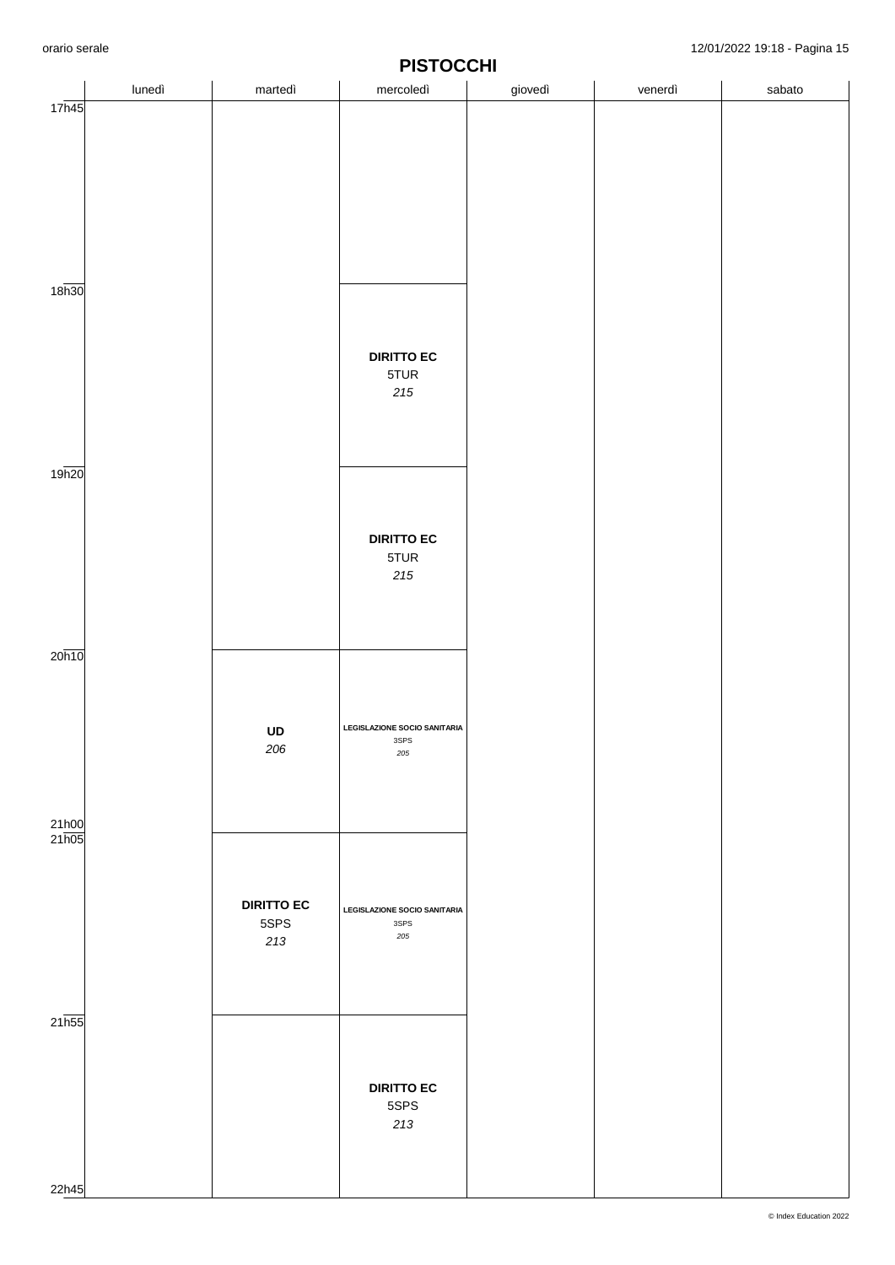|                   | lunedì | martedì           | mercoledì                           | giovedì | venerdì | sabato |
|-------------------|--------|-------------------|-------------------------------------|---------|---------|--------|
| 17h45             |        |                   |                                     |         |         |        |
|                   |        |                   |                                     |         |         |        |
|                   |        |                   |                                     |         |         |        |
|                   |        |                   |                                     |         |         |        |
|                   |        |                   |                                     |         |         |        |
|                   |        |                   |                                     |         |         |        |
|                   |        |                   |                                     |         |         |        |
|                   |        |                   |                                     |         |         |        |
|                   |        |                   |                                     |         |         |        |
|                   |        |                   |                                     |         |         |        |
| 18 <sub>h30</sub> |        |                   |                                     |         |         |        |
|                   |        |                   |                                     |         |         |        |
|                   |        |                   |                                     |         |         |        |
|                   |        |                   | <b>DIRITTO EC</b>                   |         |         |        |
|                   |        |                   | 5TUR                                |         |         |        |
|                   |        |                   | $2\sqrt{5}$                         |         |         |        |
|                   |        |                   |                                     |         |         |        |
|                   |        |                   |                                     |         |         |        |
|                   |        |                   |                                     |         |         |        |
| 19h20             |        |                   |                                     |         |         |        |
|                   |        |                   |                                     |         |         |        |
|                   |        |                   |                                     |         |         |        |
|                   |        |                   |                                     |         |         |        |
|                   |        |                   | <b>DIRITTO EC</b>                   |         |         |        |
|                   |        |                   | 5TUR                                |         |         |        |
|                   |        |                   | $2\sqrt{5}$                         |         |         |        |
|                   |        |                   |                                     |         |         |        |
|                   |        |                   |                                     |         |         |        |
|                   |        |                   |                                     |         |         |        |
| 20h10             |        |                   |                                     |         |         |        |
|                   |        |                   |                                     |         |         |        |
|                   |        |                   |                                     |         |         |        |
|                   |        |                   |                                     |         |         |        |
|                   |        | UD                | <b>LEGISLAZIONE SOCIO SANITARIA</b> |         |         |        |
|                   |        | 206               | 3SPS<br>${\bf 205}$                 |         |         |        |
|                   |        |                   |                                     |         |         |        |
|                   |        |                   |                                     |         |         |        |
|                   |        |                   |                                     |         |         |        |
| 21h00             |        |                   |                                     |         |         |        |
| 21h05             |        |                   |                                     |         |         |        |
|                   |        |                   |                                     |         |         |        |
|                   |        |                   |                                     |         |         |        |
|                   |        | <b>DIRITTO EC</b> | <b>LEGISLAZIONE SOCIO SANITARIA</b> |         |         |        |
|                   |        | 5SPS              | 3SPS                                |         |         |        |
|                   |        | 213               | 205                                 |         |         |        |
|                   |        |                   |                                     |         |         |        |
|                   |        |                   |                                     |         |         |        |
|                   |        |                   |                                     |         |         |        |
| 21h55             |        |                   |                                     |         |         |        |
|                   |        |                   |                                     |         |         |        |
|                   |        |                   |                                     |         |         |        |
|                   |        |                   |                                     |         |         |        |
|                   |        |                   | <b>DIRITTO EC</b>                   |         |         |        |
|                   |        |                   | 5SPS                                |         |         |        |
|                   |        |                   | 213                                 |         |         |        |
|                   |        |                   |                                     |         |         |        |
|                   |        |                   |                                     |         |         |        |
| 22h45             |        |                   |                                     |         |         |        |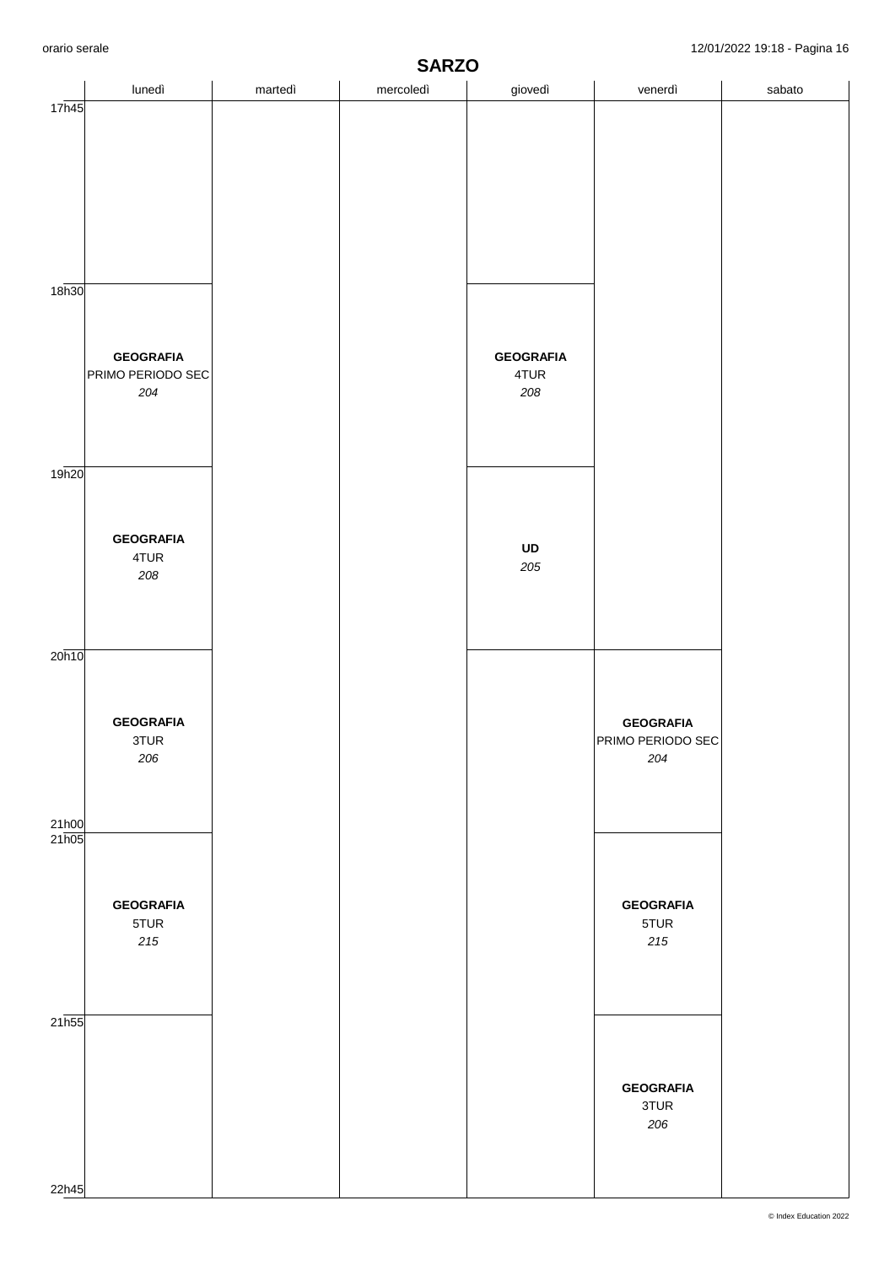|                | <b>SARZO</b>                                 |         |           |                                 |                                              |        |  |  |  |
|----------------|----------------------------------------------|---------|-----------|---------------------------------|----------------------------------------------|--------|--|--|--|
|                | lunedì                                       | martedì | mercoledì | giovedì                         | venerdì                                      | sabato |  |  |  |
| 17h45<br>18h30 |                                              |         |           |                                 |                                              |        |  |  |  |
|                | <b>GEOGRAFIA</b><br>PRIMO PERIODO SEC<br>204 |         |           | <b>GEOGRAFIA</b><br>4TUR<br>208 |                                              |        |  |  |  |
| 19h20          | <b>GEOGRAFIA</b><br>4TUR<br>208              |         |           | UD<br>205                       |                                              |        |  |  |  |
| 20h10<br>21h00 | <b>GEOGRAFIA</b><br>3TUR<br>206              |         |           |                                 | <b>GEOGRAFIA</b><br>PRIMO PERIODO SEC<br>204 |        |  |  |  |
| 21h05          | <b>GEOGRAFIA</b><br>5TUR<br>$215\,$          |         |           |                                 | <b>GEOGRAFIA</b><br>5TUR<br>$215\,$          |        |  |  |  |
| 21h55<br>22h45 |                                              |         |           |                                 | <b>GEOGRAFIA</b><br>3TUR<br>206              |        |  |  |  |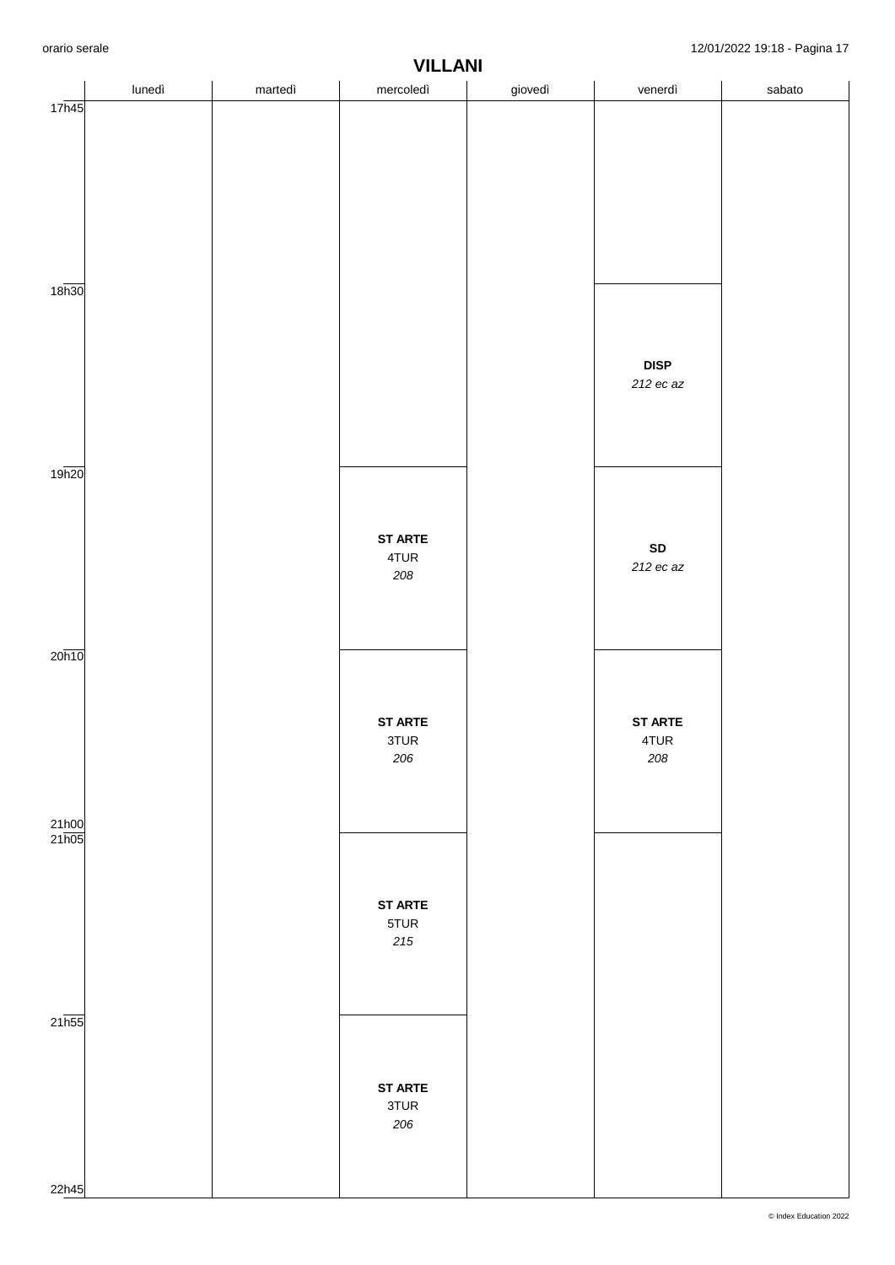|                           | lunedì | martedì | <b>VILLAINI</b><br>mercoledì | giovedì | venerdì        | sabato |
|---------------------------|--------|---------|------------------------------|---------|----------------|--------|
| 17h45                     |        |         |                              |         |                |        |
|                           |        |         |                              |         |                |        |
|                           |        |         |                              |         |                |        |
|                           |        |         |                              |         |                |        |
|                           |        |         |                              |         |                |        |
|                           |        |         |                              |         |                |        |
| 18 <sub>h30</sub>         |        |         |                              |         |                |        |
|                           |        |         |                              |         |                |        |
|                           |        |         |                              |         |                |        |
|                           |        |         |                              |         | <b>DISP</b>    |        |
|                           |        |         |                              |         | 212 ec az      |        |
|                           |        |         |                              |         |                |        |
|                           |        |         |                              |         |                |        |
| 19h20                     |        |         |                              |         |                |        |
|                           |        |         |                              |         |                |        |
|                           |        |         | <b>ST ARTE</b>               |         | ${\sf SD}$     |        |
|                           |        |         | 4TUR<br>208                  |         | 212 ec az      |        |
|                           |        |         |                              |         |                |        |
|                           |        |         |                              |         |                |        |
| $20\overline{h10}$        |        |         |                              |         |                |        |
|                           |        |         |                              |         |                |        |
|                           |        |         | <b>ST ARTE</b>               |         | <b>ST ARTE</b> |        |
|                           |        |         | 3TUR<br>206                  |         | 4TUR<br>208    |        |
|                           |        |         |                              |         |                |        |
|                           |        |         |                              |         |                |        |
| $\frac{21h00}{21h05}$     |        |         |                              |         |                |        |
|                           |        |         |                              |         |                |        |
|                           |        |         | <b>ST ARTE</b>               |         |                |        |
|                           |        |         | 5TUR                         |         |                |        |
|                           |        |         | $215$                        |         |                |        |
|                           |        |         |                              |         |                |        |
|                           |        |         |                              |         |                |        |
| $21\overline{\text{h}55}$ |        |         |                              |         |                |        |
|                           |        |         |                              |         |                |        |
|                           |        |         | <b>ST ARTE</b><br>3TUR       |         |                |        |
|                           |        |         | 206                          |         |                |        |
|                           |        |         |                              |         |                |        |
| 22h45                     |        |         |                              |         |                |        |